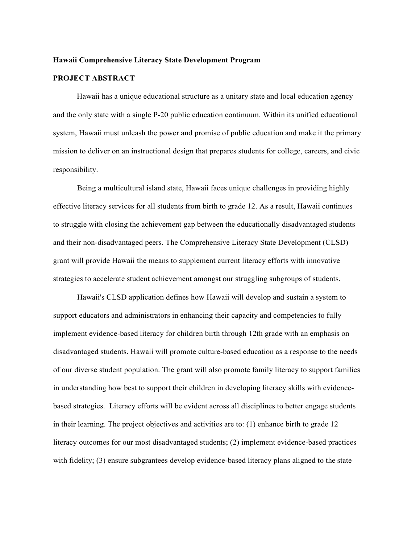#### **Hawaii Comprehensive Literacy State Development Program**

#### **PROJECT ABSTRACT**

Hawaii has a unique educational structure as a unitary state and local education agency and the only state with a single P-20 public education continuum. Within its unified educational system, Hawaii must unleash the power and promise of public education and make it the primary mission to deliver on an instructional design that prepares students for college, careers, and civic responsibility.

Being a multicultural island state, Hawaii faces unique challenges in providing highly effective literacy services for all students from birth to grade 12. As a result, Hawaii continues to struggle with closing the achievement gap between the educationally disadvantaged students and their non-disadvantaged peers. The Comprehensive Literacy State Development (CLSD) grant will provide Hawaii the means to supplement current literacy efforts with innovative strategies to accelerate student achievement amongst our struggling subgroups of students.

Hawaii's CLSD application defines how Hawaii will develop and sustain a system to support educators and administrators in enhancing their capacity and competencies to fully implement evidence-based literacy for children birth through 12th grade with an emphasis on disadvantaged students. Hawaii will promote culture-based education as a response to the needs of our diverse student population. The grant will also promote family literacy to support families in understanding how best to support their children in developing literacy skills with evidencebased strategies. Literacy efforts will be evident across all disciplines to better engage students in their learning. The project objectives and activities are to: (1) enhance birth to grade 12 literacy outcomes for our most disadvantaged students; (2) implement evidence-based practices with fidelity; (3) ensure subgrantees develop evidence-based literacy plans aligned to the state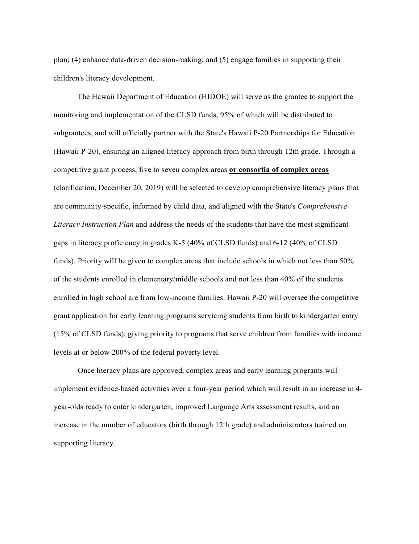plan; (4) enhance data-driven decision-making; and (5) engage families in supporting their children's literacy development.

The Hawaii Department of Education (HIDOE) will serve as the grantee to support the monitoring and implementation of the CLSD funds, 95% of which will be distributed to subgrantees, and will officially partner with the State's Hawaii P-20 Partnerships for Education (Hawaii P-20), ensuring an aligned literacy approach from birth through 12th grade. Through a competitive grant process, five to seven complex areas **or consortia of complex areas** (clarification, December 20, 2019) will be selected to develop comprehensive literacy plans that are community-specific, informed by child data, and aligned with the State's *Comprehensive Literacy Instruction Plan* and address the needs of the students that have the most significant gaps in literacy proficiency in grades K-5 (40% of CLSD funds) and 6-12 (40% of CLSD funds). Priority will be given to complex areas that include schools in which not less than 50% of the students enrolled in elementary/middle schools and not less than 40% of the students enrolled in high school are from low-income families. Hawaii P-20 will oversee the competitive grant application for early learning programs servicing students from birth to kindergarten entry (15% of CLSD funds), giving priority to programs that serve children from families with income levels at or below 200% of the federal poverty level.

Once literacy plans are approved, complex areas and early learning programs will implement evidence-based activities over a four-year period which will result in an increase in 4 year-olds ready to enter kindergarten, improved Language Arts assessment results, and an increase in the number of educators (birth through 12th grade) and administrators trained on supporting literacy.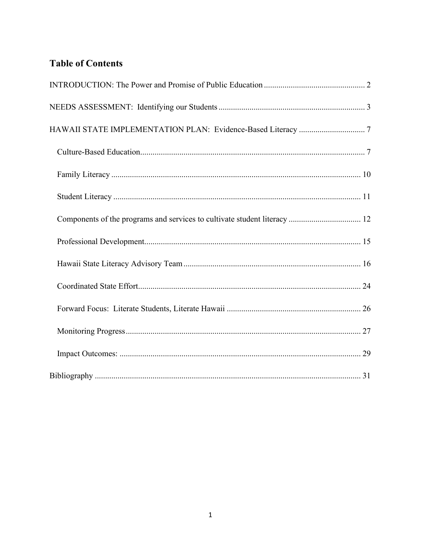# **Table of Contents**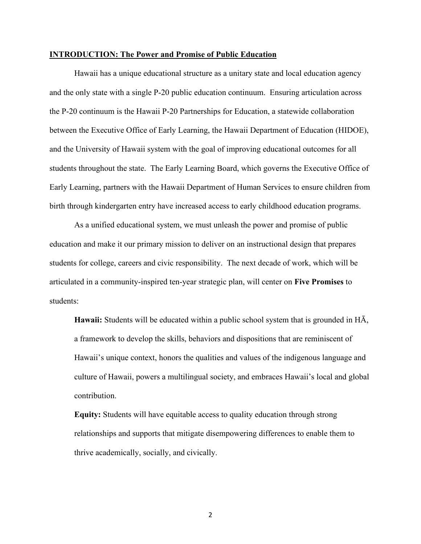#### <span id="page-3-0"></span>**INTRODUCTION: The Power and Promise of Public Education**

Hawaii has a unique educational structure as a unitary state and local education agency and the only state with a single P-20 public education continuum. Ensuring articulation across the P-20 continuum is the Hawaii P-20 Partnerships for Education, a statewide collaboration between the Executive Office of Early Learning, the Hawaii Department of Education (HIDOE), and the University of Hawaii system with the goal of improving educational outcomes for all students throughout the state. The Early Learning Board, which governs the Executive Office of Early Learning, partners with the Hawaii Department of Human Services to ensure children from birth through kindergarten entry have increased access to early childhood education programs.

As a unified educational system, we must unleash the power and promise of public education and make it our primary mission to deliver on an instructional design that prepares students for college, careers and civic responsibility. The next decade of work, which will be articulated in a community-inspired ten-year strategic plan, will center on **Five Promises** to students:

**Hawaii:** Students will be educated within a public school system that is grounded in HĀ, a framework to develop the skills, behaviors and dispositions that are reminiscent of Hawaii's unique context, honors the qualities and values of the indigenous language and culture of Hawaii, powers a multilingual society, and embraces Hawaii's local and global contribution.

**Equity:** Students will have equitable access to quality education through strong relationships and supports that mitigate disempowering differences to enable them to thrive academically, socially, and civically.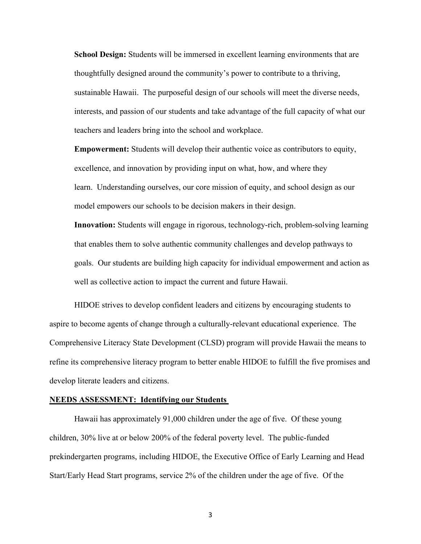**School Design:** Students will be immersed in excellent learning environments that are thoughtfully designed around the community's power to contribute to a thriving, sustainable Hawaii. The purposeful design of our schools will meet the diverse needs, interests, and passion of our students and take advantage of the full capacity of what our teachers and leaders bring into the school and workplace.

**Empowerment:** Students will develop their authentic voice as contributors to equity, excellence, and innovation by providing input on what, how, and where they learn. Understanding ourselves, our core mission of equity, and school design as our model empowers our schools to be decision makers in their design.

**Innovation:** Students will engage in rigorous, technology-rich, problem-solving learning that enables them to solve authentic community challenges and develop pathways to goals. Our students are building high capacity for individual empowerment and action as well as collective action to impact the current and future Hawaii.

HIDOE strives to develop confident leaders and citizens by encouraging students to aspire to become agents of change through a culturally-relevant educational experience. The Comprehensive Literacy State Development (CLSD) program will provide Hawaii the means to refine its comprehensive literacy program to better enable HIDOE to fulfill the five promises and develop literate leaders and citizens.

#### <span id="page-4-0"></span>**NEEDS ASSESSMENT: Identifying our Students**

Hawaii has approximately 91,000 children under the age of five. Of these young children, 30% live at or below 200% of the federal poverty level. The public-funded prekindergarten programs, including HIDOE, the Executive Office of Early Learning and Head Start/Early Head Start programs, service 2% of the children under the age of five. Of the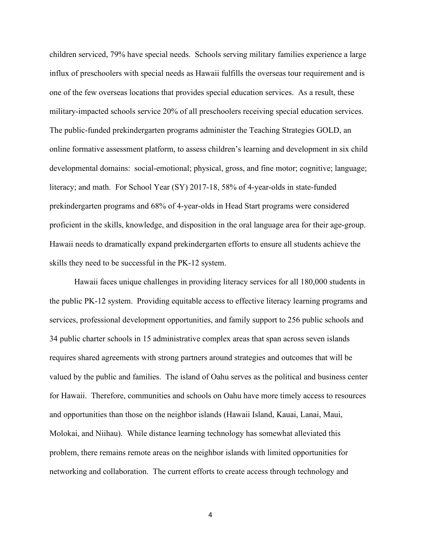children serviced, 79% have special needs. Schools serving military families experience a large influx of preschoolers with special needs as Hawaii fulfills the overseas tour requirement and is one of the few overseas locations that provides special education services. As a result, these military-impacted schools service 20% of all preschoolers receiving special education services. The public-funded prekindergarten programs administer the Teaching Strategies GOLD, an online formative assessment platform, to assess children's learning and development in six child developmental domains: social-emotional; physical, gross, and fine motor; cognitive; language; literacy; and math. For School Year (SY) 2017-18, 58% of 4-year-olds in state-funded prekindergarten programs and 68% of 4-year-olds in Head Start programs were considered proficient in the skills, knowledge, and disposition in the oral language area for their age-group. Hawaii needs to dramatically expand prekindergarten efforts to ensure all students achieve the skills they need to be successful in the PK-12 system.

Hawaii faces unique challenges in providing literacy services for all 180,000 students in the public PK-12 system. Providing equitable access to effective literacy learning programs and services, professional development opportunities, and family support to 256 public schools and 34 public charter schools in 15 administrative complex areas that span across seven islands requires shared agreements with strong partners around strategies and outcomes that will be valued by the public and families. The island of Oahu serves as the political and business center for Hawaii. Therefore, communities and schools on Oahu have more timely access to resources and opportunities than those on the neighbor islands (Hawaii Island, Kauai, Lanai, Maui, Molokai, and Niihau). While distance learning technology has somewhat alleviated this problem, there remains remote areas on the neighbor islands with limited opportunities for networking and collaboration. The current efforts to create access through technology and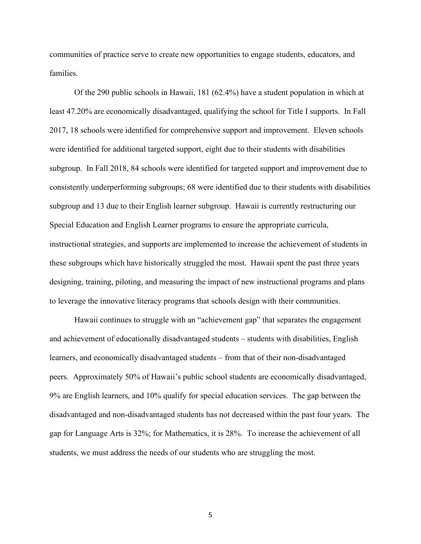communities of practice serve to create new opportunities to engage students, educators, and families.

Of the 290 public schools in Hawaii, 181 (62.4%) have a student population in which at least 47.20% are economically disadvantaged, qualifying the school for Title I supports. In Fall 2017, 18 schools were identified for comprehensive support and improvement. Eleven schools were identified for additional targeted support, eight due to their students with disabilities subgroup. In Fall 2018, 84 schools were identified for targeted support and improvement due to consistently underperforming subgroups; 68 were identified due to their students with disabilities subgroup and 13 due to their English learner subgroup. Hawaii is currently restructuring our Special Education and English Learner programs to ensure the appropriate curricula, instructional strategies, and supports are implemented to increase the achievement of students in these subgroups which have historically struggled the most. Hawaii spent the past three years designing, training, piloting, and measuring the impact of new instructional programs and plans to leverage the innovative literacy programs that schools design with their communities.

Hawaii continues to struggle with an "achievement gap" that separates the engagement and achievement of educationally disadvantaged students – students with disabilities, English learners, and economically disadvantaged students – from that of their non-disadvantaged peers. Approximately 50% of Hawaii's public school students are economically disadvantaged, 9% are English learners, and 10% qualify for special education services. The gap between the disadvantaged and non-disadvantaged students has not decreased within the past four years. The gap for Language Arts is 32%; for Mathematics, it is 28%. To increase the achievement of all students, we must address the needs of our students who are struggling the most.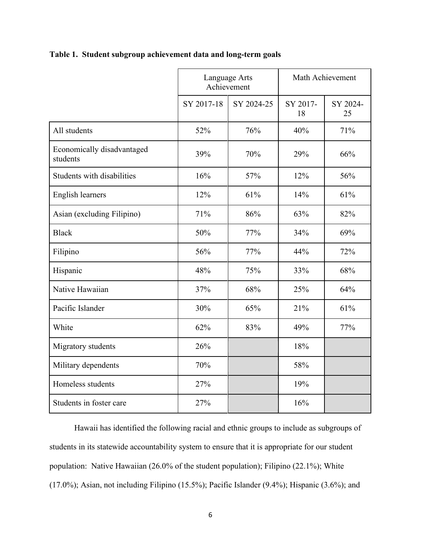| Table 1. Student subgroup achievement data and long-term goals |  |  |
|----------------------------------------------------------------|--|--|
|                                                                |  |  |

|                                        | Language Arts<br>Achievement |            | Math Achievement |                |
|----------------------------------------|------------------------------|------------|------------------|----------------|
|                                        | SY 2017-18                   | SY 2024-25 | SY 2017-<br>18   | SY 2024-<br>25 |
| All students                           | 52%                          | 76%        | 40%              | 71%            |
| Economically disadvantaged<br>students | 39%                          | 70%        | 29%              | 66%            |
| Students with disabilities             | 16%                          | 57%        | 12%              | 56%            |
| <b>English learners</b>                | 12%                          | 61%        | 14%              | 61%            |
| Asian (excluding Filipino)             | 71%                          | 86%        | 63%              | 82%            |
| <b>Black</b>                           | 50%                          | 77%        | 34%              | 69%            |
| Filipino                               | 56%                          | 77%        | 44%              | 72%            |
| Hispanic                               | 48%                          | 75%        | 33%              | 68%            |
| Native Hawaiian                        | 37%                          | 68%        | 25%              | 64%            |
| Pacific Islander                       | 30%                          | 65%        | 21%              | 61%            |
| White                                  | 62%                          | 83%        | 49%              | 77%            |
| Migratory students                     | 26%                          |            | 18%              |                |
| Military dependents                    | 70%                          |            | 58%              |                |
| Homeless students                      | 27%                          |            | 19%              |                |
| Students in foster care                | 27%                          |            | 16%              |                |

Hawaii has identified the following racial and ethnic groups to include as subgroups of students in its statewide accountability system to ensure that it is appropriate for our student population: Native Hawaiian (26.0% of the student population); Filipino (22.1%); White (17.0%); Asian, not including Filipino (15.5%); Pacific Islander (9.4%); Hispanic (3.6%); and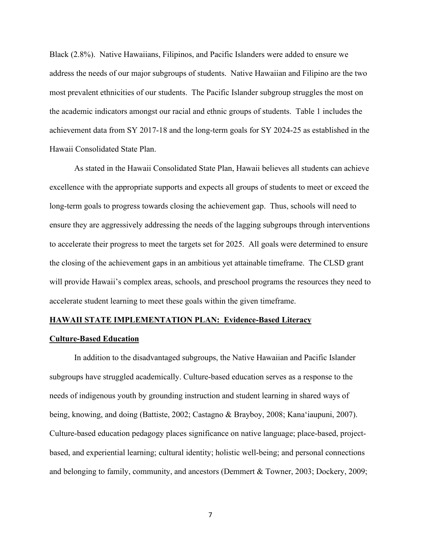Black (2.8%). Native Hawaiians, Filipinos, and Pacific Islanders were added to ensure we address the needs of our major subgroups of students. Native Hawaiian and Filipino are the two most prevalent ethnicities of our students. The Pacific Islander subgroup struggles the most on the academic indicators amongst our racial and ethnic groups of students. Table 1 includes the achievement data from SY 2017-18 and the long-term goals for SY 2024-25 as established in the Hawaii Consolidated State Plan.

As stated in the Hawaii Consolidated State Plan, Hawaii believes all students can achieve excellence with the appropriate supports and expects all groups of students to meet or exceed the long-term goals to progress towards closing the achievement gap. Thus, schools will need to ensure they are aggressively addressing the needs of the lagging subgroups through interventions to accelerate their progress to meet the targets set for 2025. All goals were determined to ensure the closing of the achievement gaps in an ambitious yet attainable timeframe. The CLSD grant will provide Hawaii's complex areas, schools, and preschool programs the resources they need to accelerate student learning to meet these goals within the given timeframe.

#### <span id="page-8-0"></span>**HAWAII STATE IMPLEMENTATION PLAN: Evidence-Based Literacy**

#### <span id="page-8-1"></span>**Culture-Based Education**

In addition to the disadvantaged subgroups, the Native Hawaiian and Pacific Islander subgroups have struggled academically. Culture-based education serves as a response to the needs of indigenous youth by grounding instruction and student learning in shared ways of being, knowing, and doing (Battiste, 2002; Castagno & Brayboy, 2008; Kanaʻiaupuni, 2007). Culture-based education pedagogy places significance on native language; place-based, projectbased, and experiential learning; cultural identity; holistic well-being; and personal connections and belonging to family, community, and ancestors (Demmert & Towner, 2003; Dockery, 2009;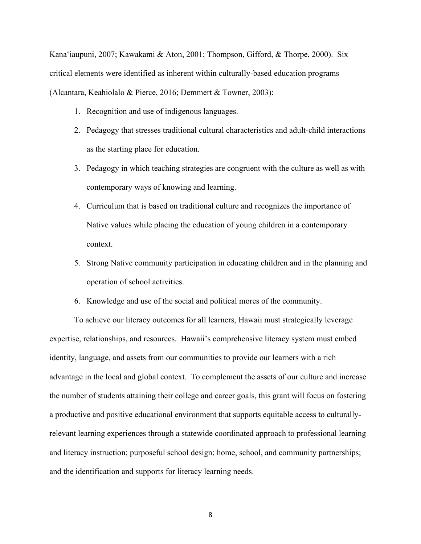Kanaʻiaupuni, 2007; Kawakami & Aton, 2001; Thompson, Gifford, & Thorpe, 2000). Six critical elements were identified as inherent within culturally-based education programs (Alcantara, Keahiolalo & Pierce, 2016; Demmert & Towner, 2003):

- 1. Recognition and use of indigenous languages.
- 2. Pedagogy that stresses traditional cultural characteristics and adult-child interactions as the starting place for education.
- 3. Pedagogy in which teaching strategies are congruent with the culture as well as with contemporary ways of knowing and learning.
- 4. Curriculum that is based on traditional culture and recognizes the importance of Native values while placing the education of young children in a contemporary context.
- 5. Strong Native community participation in educating children and in the planning and operation of school activities.
- 6. Knowledge and use of the social and political mores of the community.

To achieve our literacy outcomes for all learners, Hawaii must strategically leverage expertise, relationships, and resources. Hawaii's comprehensive literacy system must embed identity, language, and assets from our communities to provide our learners with a rich advantage in the local and global context. To complement the assets of our culture and increase the number of students attaining their college and career goals, this grant will focus on fostering a productive and positive educational environment that supports equitable access to culturallyrelevant learning experiences through a statewide coordinated approach to professional learning and literacy instruction; purposeful school design; home, school, and community partnerships; and the identification and supports for literacy learning needs.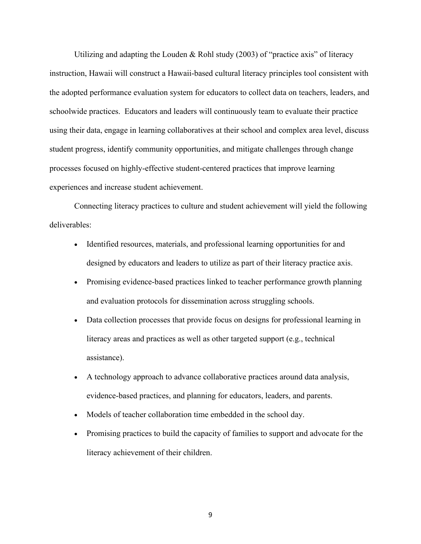Utilizing and adapting the Louden & Rohl study (2003) of "practice axis" of literacy instruction, Hawaii will construct a Hawaii-based cultural literacy principles tool consistent with the adopted performance evaluation system for educators to collect data on teachers, leaders, and schoolwide practices. Educators and leaders will continuously team to evaluate their practice using their data, engage in learning collaboratives at their school and complex area level, discuss student progress, identify community opportunities, and mitigate challenges through change processes focused on highly-effective student-centered practices that improve learning experiences and increase student achievement.

Connecting literacy practices to culture and student achievement will yield the following deliverables:

- Identified resources, materials, and professional learning opportunities for and designed by educators and leaders to utilize as part of their literacy practice axis.
- Promising evidence-based practices linked to teacher performance growth planning and evaluation protocols for dissemination across struggling schools.
- Data collection processes that provide focus on designs for professional learning in literacy areas and practices as well as other targeted support (e.g., technical assistance).
- A technology approach to advance collaborative practices around data analysis, evidence-based practices, and planning for educators, leaders, and parents.
- Models of teacher collaboration time embedded in the school day.
- <span id="page-10-0"></span>• Promising practices to build the capacity of families to support and advocate for the literacy achievement of their children.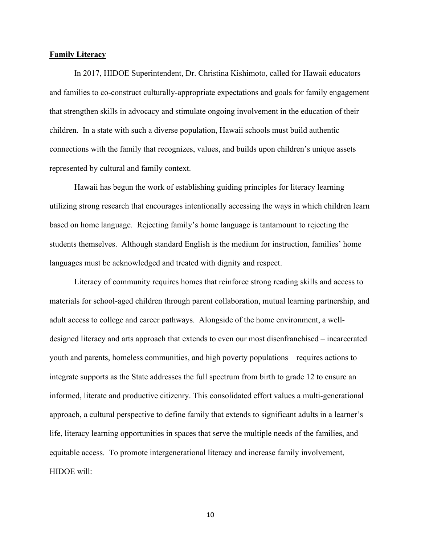#### **Family Literacy**

In 2017, HIDOE Superintendent, Dr. Christina Kishimoto, called for Hawaii educators and families to co-construct culturally-appropriate expectations and goals for family engagement that strengthen skills in advocacy and stimulate ongoing involvement in the education of their children. In a state with such a diverse population, Hawaii schools must build authentic connections with the family that recognizes, values, and builds upon children's unique assets represented by cultural and family context.

Hawaii has begun the work of establishing guiding principles for literacy learning utilizing strong research that encourages intentionally accessing the ways in which children learn based on home language. Rejecting family's home language is tantamount to rejecting the students themselves. Although standard English is the medium for instruction, families' home languages must be acknowledged and treated with dignity and respect.

Literacy of community requires homes that reinforce strong reading skills and access to materials for school-aged children through parent collaboration, mutual learning partnership, and adult access to college and career pathways. Alongside of the home environment, a welldesigned literacy and arts approach that extends to even our most disenfranchised – incarcerated youth and parents, homeless communities, and high poverty populations – requires actions to integrate supports as the State addresses the full spectrum from birth to grade 12 to ensure an informed, literate and productive citizenry. This consolidated effort values a multi-generational approach, a cultural perspective to define family that extends to significant adults in a learner's life, literacy learning opportunities in spaces that serve the multiple needs of the families, and equitable access. To promote intergenerational literacy and increase family involvement, HIDOE will: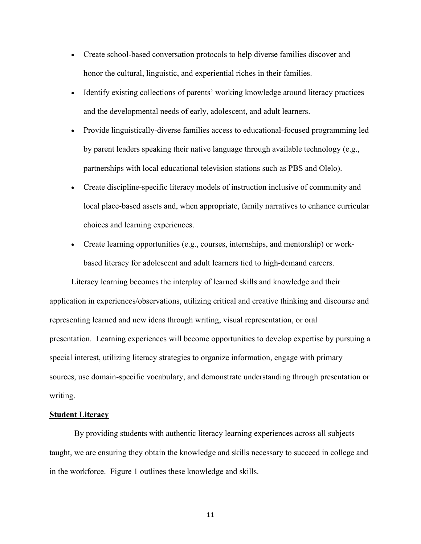- Create school-based conversation protocols to help diverse families discover and honor the cultural, linguistic, and experiential riches in their families.
- Identify existing collections of parents' working knowledge around literacy practices and the developmental needs of early, adolescent, and adult learners.
- Provide linguistically-diverse families access to educational-focused programming led by parent leaders speaking their native language through available technology (e.g., partnerships with local educational television stations such as PBS and Olelo).
- Create discipline-specific literacy models of instruction inclusive of community and local place-based assets and, when appropriate, family narratives to enhance curricular choices and learning experiences.
- Create learning opportunities (e.g., courses, internships, and mentorship) or workbased literacy for adolescent and adult learners tied to high-demand careers.

Literacy learning becomes the interplay of learned skills and knowledge and their application in experiences/observations, utilizing critical and creative thinking and discourse and representing learned and new ideas through writing, visual representation, or oral presentation. Learning experiences will become opportunities to develop expertise by pursuing a special interest, utilizing literacy strategies to organize information, engage with primary sources, use domain-specific vocabulary, and demonstrate understanding through presentation or writing.

#### <span id="page-12-0"></span>**Student Literacy**

By providing students with authentic literacy learning experiences across all subjects taught, we are ensuring they obtain the knowledge and skills necessary to succeed in college and in the workforce. Figure 1 outlines these knowledge and skills.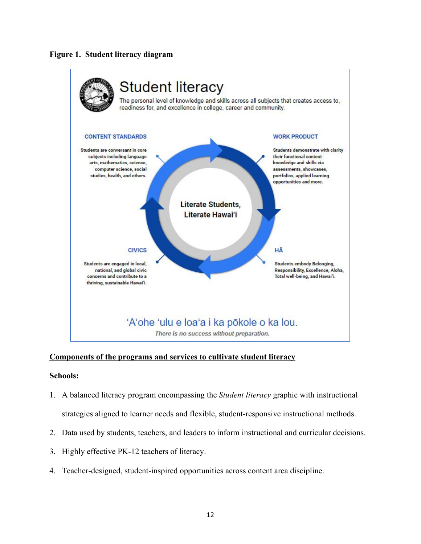# **Figure 1. Student literacy diagram**



# <span id="page-13-0"></span>**Components of the programs and services to cultivate student literacy**

# **Schools:**

- 1. A balanced literacy program encompassing the *Student literacy* graphic with instructional strategies aligned to learner needs and flexible, student-responsive instructional methods.
- 2. Data used by students, teachers, and leaders to inform instructional and curricular decisions.
- 3. Highly effective PK-12 teachers of literacy.
- 4. Teacher-designed, student-inspired opportunities across content area discipline.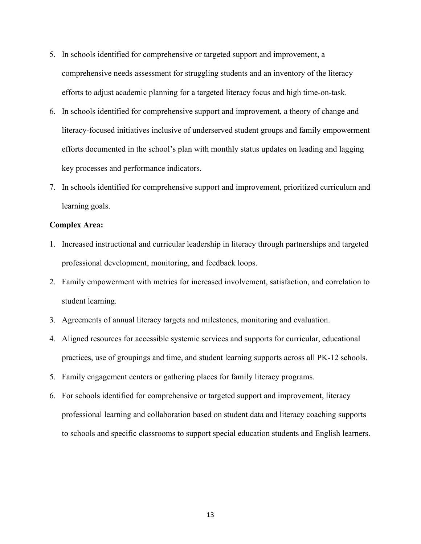- 5. In schools identified for comprehensive or targeted support and improvement, a comprehensive needs assessment for struggling students and an inventory of the literacy efforts to adjust academic planning for a targeted literacy focus and high time-on-task.
- 6. In schools identified for comprehensive support and improvement, a theory of change and literacy-focused initiatives inclusive of underserved student groups and family empowerment efforts documented in the school's plan with monthly status updates on leading and lagging key processes and performance indicators.
- 7. In schools identified for comprehensive support and improvement, prioritized curriculum and learning goals.

## **Complex Area:**

- 1. Increased instructional and curricular leadership in literacy through partnerships and targeted professional development, monitoring, and feedback loops.
- 2. Family empowerment with metrics for increased involvement, satisfaction, and correlation to student learning.
- 3. Agreements of annual literacy targets and milestones, monitoring and evaluation.
- 4. Aligned resources for accessible systemic services and supports for curricular, educational practices, use of groupings and time, and student learning supports across all PK-12 schools.
- 5. Family engagement centers or gathering places for family literacy programs.
- 6. For schools identified for comprehensive or targeted support and improvement, literacy professional learning and collaboration based on student data and literacy coaching supports to schools and specific classrooms to support special education students and English learners.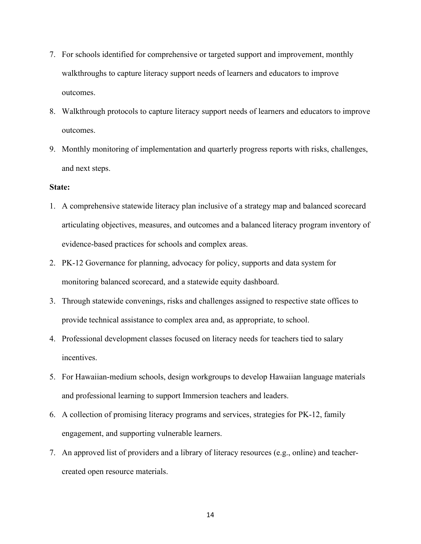- 7. For schools identified for comprehensive or targeted support and improvement, monthly walkthroughs to capture literacy support needs of learners and educators to improve outcomes.
- 8. Walkthrough protocols to capture literacy support needs of learners and educators to improve outcomes.
- 9. Monthly monitoring of implementation and quarterly progress reports with risks, challenges, and next steps.

### **State:**

- 1. A comprehensive statewide literacy plan inclusive of a strategy map and balanced scorecard articulating objectives, measures, and outcomes and a balanced literacy program inventory of evidence-based practices for schools and complex areas.
- 2. PK-12 Governance for planning, advocacy for policy, supports and data system for monitoring balanced scorecard, and a statewide equity dashboard.
- 3. Through statewide convenings, risks and challenges assigned to respective state offices to provide technical assistance to complex area and, as appropriate, to school.
- 4. Professional development classes focused on literacy needs for teachers tied to salary incentives.
- 5. For Hawaiian-medium schools, design workgroups to develop Hawaiian language materials and professional learning to support Immersion teachers and leaders.
- 6. A collection of promising literacy programs and services, strategies for PK-12, family engagement, and supporting vulnerable learners.
- 7. An approved list of providers and a library of literacy resources (e.g., online) and teachercreated open resource materials.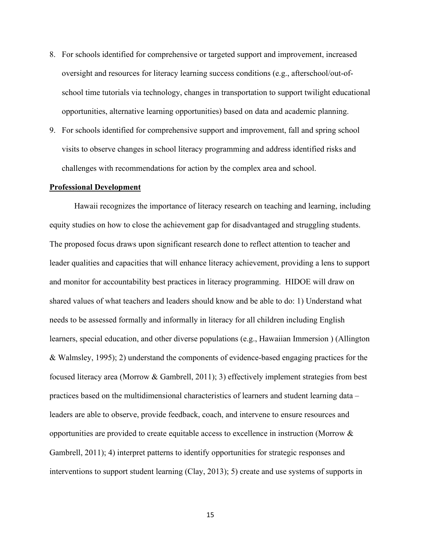- 8. For schools identified for comprehensive or targeted support and improvement, increased oversight and resources for literacy learning success conditions (e.g., afterschool/out-ofschool time tutorials via technology, changes in transportation to support twilight educational opportunities, alternative learning opportunities) based on data and academic planning.
- 9. For schools identified for comprehensive support and improvement, fall and spring school visits to observe changes in school literacy programming and address identified risks and challenges with recommendations for action by the complex area and school.

#### <span id="page-16-0"></span>**Professional Development**

Hawaii recognizes the importance of literacy research on teaching and learning, including equity studies on how to close the achievement gap for disadvantaged and struggling students. The proposed focus draws upon significant research done to reflect attention to teacher and leader qualities and capacities that will enhance literacy achievement, providing a lens to support and monitor for accountability best practices in literacy programming. HIDOE will draw on shared values of what teachers and leaders should know and be able to do: 1) Understand what needs to be assessed formally and informally in literacy for all children including English learners, special education, and other diverse populations (e.g., Hawaiian Immersion ) (Allington & Walmsley, 1995); 2) understand the components of evidence-based engaging practices for the focused literacy area (Morrow & Gambrell, 2011); 3) effectively implement strategies from best practices based on the multidimensional characteristics of learners and student learning data – leaders are able to observe, provide feedback, coach, and intervene to ensure resources and opportunities are provided to create equitable access to excellence in instruction (Morrow & Gambrell, 2011); 4) interpret patterns to identify opportunities for strategic responses and interventions to support student learning (Clay, 2013); 5) create and use systems of supports in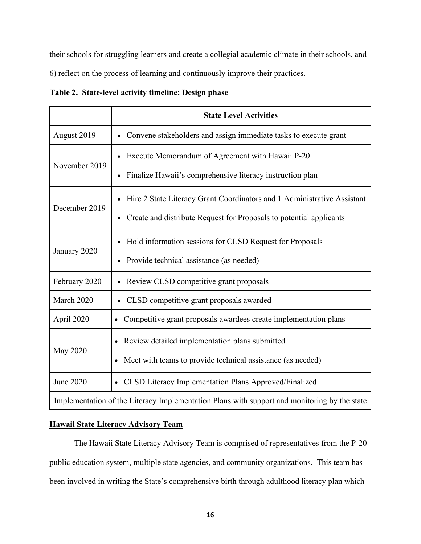their schools for struggling learners and create a collegial academic climate in their schools, and 6) reflect on the process of learning and continuously improve their practices.

|  | Table 2. State-level activity timeline: Design phase |  |  |  |  |
|--|------------------------------------------------------|--|--|--|--|
|--|------------------------------------------------------|--|--|--|--|

|                  | <b>State Level Activities</b>                                                                |
|------------------|----------------------------------------------------------------------------------------------|
| August 2019      | Convene stakeholders and assign immediate tasks to execute grant                             |
| November 2019    | Execute Memorandum of Agreement with Hawaii P-20                                             |
|                  | Finalize Hawaii's comprehensive literacy instruction plan                                    |
| December 2019    | Hire 2 State Literacy Grant Coordinators and 1 Administrative Assistant                      |
|                  | Create and distribute Request for Proposals to potential applicants                          |
| January 2020     | Hold information sessions for CLSD Request for Proposals                                     |
|                  | Provide technical assistance (as needed)                                                     |
| February 2020    | Review CLSD competitive grant proposals                                                      |
| March 2020       | CLSD competitive grant proposals awarded                                                     |
| April 2020       | Competitive grant proposals awardees create implementation plans                             |
| <b>May 2020</b>  | Review detailed implementation plans submitted                                               |
|                  | Meet with teams to provide technical assistance (as needed)                                  |
| <b>June 2020</b> | CLSD Literacy Implementation Plans Approved/Finalized                                        |
|                  | Implementation of the Literacy Implementation Plans with support and monitoring by the state |

# <span id="page-17-0"></span>**Hawaii State Literacy Advisory Team**

The Hawaii State Literacy Advisory Team is comprised of representatives from the P-20 public education system, multiple state agencies, and community organizations. This team has been involved in writing the State's comprehensive birth through adulthood literacy plan which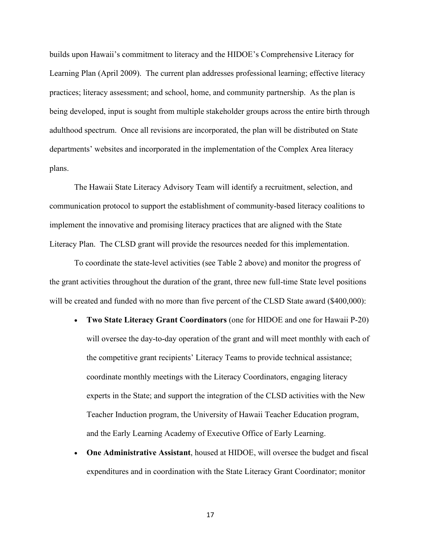builds upon Hawaii's commitment to literacy and the HIDOE's Comprehensive Literacy for Learning Plan (April 2009). The current plan addresses professional learning; effective literacy practices; literacy assessment; and school, home, and community partnership. As the plan is being developed, input is sought from multiple stakeholder groups across the entire birth through adulthood spectrum. Once all revisions are incorporated, the plan will be distributed on State departments' websites and incorporated in the implementation of the Complex Area literacy plans.

The Hawaii State Literacy Advisory Team will identify a recruitment, selection, and communication protocol to support the establishment of community-based literacy coalitions to implement the innovative and promising literacy practices that are aligned with the State Literacy Plan. The CLSD grant will provide the resources needed for this implementation.

To coordinate the state-level activities (see Table 2 above) and monitor the progress of the grant activities throughout the duration of the grant, three new full-time State level positions will be created and funded with no more than five percent of the CLSD State award (\$400,000):

- **Two State Literacy Grant Coordinators** (one for HIDOE and one for Hawaii P-20) will oversee the day-to-day operation of the grant and will meet monthly with each of the competitive grant recipients' Literacy Teams to provide technical assistance; coordinate monthly meetings with the Literacy Coordinators, engaging literacy experts in the State; and support the integration of the CLSD activities with the New Teacher Induction program, the University of Hawaii Teacher Education program, and the Early Learning Academy of Executive Office of Early Learning.
- **One Administrative Assistant**, housed at HIDOE, will oversee the budget and fiscal expenditures and in coordination with the State Literacy Grant Coordinator; monitor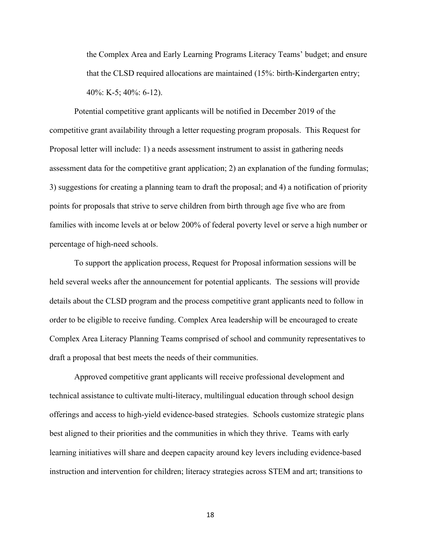the Complex Area and Early Learning Programs Literacy Teams' budget; and ensure that the CLSD required allocations are maintained (15%: birth-Kindergarten entry; 40%: K-5; 40%: 6-12).

Potential competitive grant applicants will be notified in December 2019 of the competitive grant availability through a letter requesting program proposals. This Request for Proposal letter will include: 1) a needs assessment instrument to assist in gathering needs assessment data for the competitive grant application; 2) an explanation of the funding formulas; 3) suggestions for creating a planning team to draft the proposal; and 4) a notification of priority points for proposals that strive to serve children from birth through age five who are from families with income levels at or below 200% of federal poverty level or serve a high number or percentage of high-need schools.

To support the application process, Request for Proposal information sessions will be held several weeks after the announcement for potential applicants. The sessions will provide details about the CLSD program and the process competitive grant applicants need to follow in order to be eligible to receive funding. Complex Area leadership will be encouraged to create Complex Area Literacy Planning Teams comprised of school and community representatives to draft a proposal that best meets the needs of their communities.

Approved competitive grant applicants will receive professional development and technical assistance to cultivate multi-literacy, multilingual education through school design offerings and access to high-yield evidence-based strategies. Schools customize strategic plans best aligned to their priorities and the communities in which they thrive. Teams with early learning initiatives will share and deepen capacity around key levers including evidence-based instruction and intervention for children; literacy strategies across STEM and art; transitions to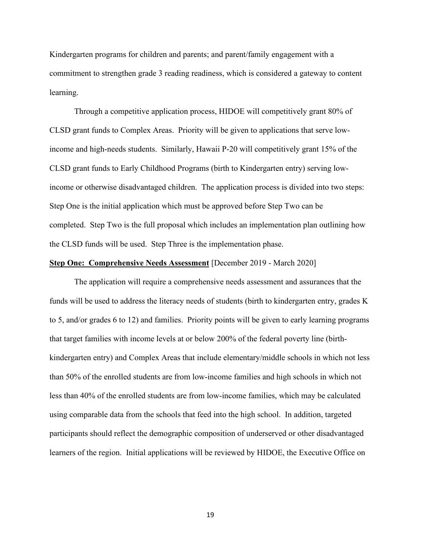Kindergarten programs for children and parents; and parent/family engagement with a commitment to strengthen grade 3 reading readiness, which is considered a gateway to content learning.

Through a competitive application process, HIDOE will competitively grant 80% of CLSD grant funds to Complex Areas. Priority will be given to applications that serve lowincome and high-needs students. Similarly, Hawaii P-20 will competitively grant 15% of the CLSD grant funds to Early Childhood Programs (birth to Kindergarten entry) serving lowincome or otherwise disadvantaged children. The application process is divided into two steps: Step One is the initial application which must be approved before Step Two can be completed. Step Two is the full proposal which includes an implementation plan outlining how the CLSD funds will be used. Step Three is the implementation phase.

#### **Step One: Comprehensive Needs Assessment** [December 2019 - March 2020]

The application will require a comprehensive needs assessment and assurances that the funds will be used to address the literacy needs of students (birth to kindergarten entry, grades K to 5, and/or grades 6 to 12) and families. Priority points will be given to early learning programs that target families with income levels at or below 200% of the federal poverty line (birthkindergarten entry) and Complex Areas that include elementary/middle schools in which not less than 50% of the enrolled students are from low-income families and high schools in which not less than 40% of the enrolled students are from low-income families, which may be calculated using comparable data from the schools that feed into the high school. In addition, targeted participants should reflect the demographic composition of underserved or other disadvantaged learners of the region. Initial applications will be reviewed by HIDOE, the Executive Office on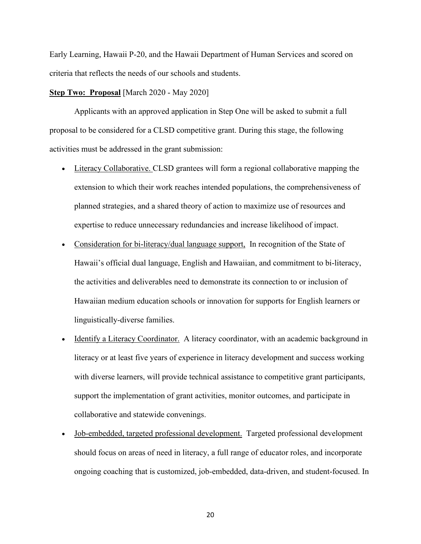Early Learning, Hawaii P-20, and the Hawaii Department of Human Services and scored on criteria that reflects the needs of our schools and students.

#### **Step Two: Proposal** [March 2020 - May 2020]

Applicants with an approved application in Step One will be asked to submit a full proposal to be considered for a CLSD competitive grant. During this stage, the following activities must be addressed in the grant submission:

- Literacy Collaborative. CLSD grantees will form a regional collaborative mapping the extension to which their work reaches intended populations, the comprehensiveness of planned strategies, and a shared theory of action to maximize use of resources and expertise to reduce unnecessary redundancies and increase likelihood of impact.
- Consideration for bi-literacy/dual language support, In recognition of the State of Hawaii's official dual language, English and Hawaiian, and commitment to bi-literacy, the activities and deliverables need to demonstrate its connection to or inclusion of Hawaiian medium education schools or innovation for supports for English learners or linguistically-diverse families.
- Identify a Literacy Coordinator. A literacy coordinator, with an academic background in literacy or at least five years of experience in literacy development and success working with diverse learners, will provide technical assistance to competitive grant participants, support the implementation of grant activities, monitor outcomes, and participate in collaborative and statewide convenings.
- Job-embedded, targeted professional development. Targeted professional development should focus on areas of need in literacy, a full range of educator roles, and incorporate ongoing coaching that is customized, job-embedded, data-driven, and student-focused. In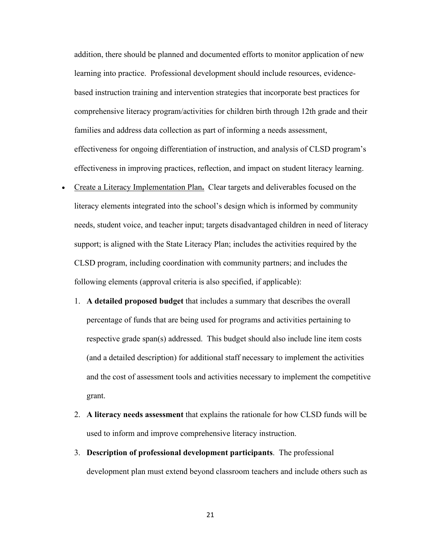addition, there should be planned and documented efforts to monitor application of new learning into practice. Professional development should include resources, evidencebased instruction training and intervention strategies that incorporate best practices for comprehensive literacy program/activities for children birth through 12th grade and their families and address data collection as part of informing a needs assessment, effectiveness for ongoing differentiation of instruction, and analysis of CLSD program's effectiveness in improving practices, reflection, and impact on student literacy learning.

- Create a Literacy Implementation Plan**.** Clear targets and deliverables focused on the literacy elements integrated into the school's design which is informed by community needs, student voice, and teacher input; targets disadvantaged children in need of literacy support; is aligned with the State Literacy Plan; includes the activities required by the CLSD program, including coordination with community partners; and includes the following elements (approval criteria is also specified, if applicable):
	- 1. **A detailed proposed budget** that includes a summary that describes the overall percentage of funds that are being used for programs and activities pertaining to respective grade span(s) addressed. This budget should also include line item costs (and a detailed description) for additional staff necessary to implement the activities and the cost of assessment tools and activities necessary to implement the competitive grant.
	- 2. **A literacy needs assessment** that explains the rationale for how CLSD funds will be used to inform and improve comprehensive literacy instruction.
	- 3. **Description of professional development participants**. The professional development plan must extend beyond classroom teachers and include others such as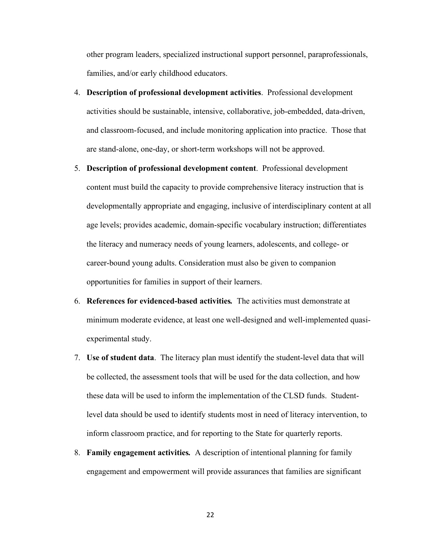other program leaders, specialized instructional support personnel, paraprofessionals, families, and/or early childhood educators.

- 4. **Description of professional development activities**. Professional development activities should be sustainable, intensive, collaborative, job-embedded, data-driven, and classroom-focused, and include monitoring application into practice. Those that are stand-alone, one-day, or short-term workshops will not be approved.
- 5. **Description of professional development content**. Professional development content must build the capacity to provide comprehensive literacy instruction that is developmentally appropriate and engaging, inclusive of interdisciplinary content at all age levels; provides academic, domain-specific vocabulary instruction; differentiates the literacy and numeracy needs of young learners, adolescents, and college- or career-bound young adults. Consideration must also be given to companion opportunities for families in support of their learners.
- 6. **References for evidenced-based activities***.* The activities must demonstrate at minimum moderate evidence, at least one well-designed and well-implemented quasiexperimental study.
- 7. **Use of student data**. The literacy plan must identify the student-level data that will be collected, the assessment tools that will be used for the data collection, and how these data will be used to inform the implementation of the CLSD funds. Studentlevel data should be used to identify students most in need of literacy intervention, to inform classroom practice, and for reporting to the State for quarterly reports.
- 8. **Family engagement activities***.* A description of intentional planning for family engagement and empowerment will provide assurances that families are significant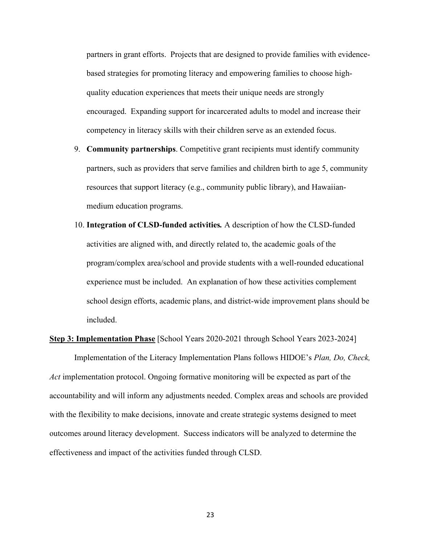partners in grant efforts. Projects that are designed to provide families with evidencebased strategies for promoting literacy and empowering families to choose highquality education experiences that meets their unique needs are strongly encouraged. Expanding support for incarcerated adults to model and increase their competency in literacy skills with their children serve as an extended focus.

- 9. **Community partnerships**. Competitive grant recipients must identify community partners, such as providers that serve families and children birth to age 5, community resources that support literacy (e.g., community public library), and Hawaiianmedium education programs.
- 10. **Integration of CLSD-funded activities***.* A description of how the CLSD-funded activities are aligned with, and directly related to, the academic goals of the program/complex area/school and provide students with a well-rounded educational experience must be included. An explanation of how these activities complement school design efforts, academic plans, and district-wide improvement plans should be included.

# **Step 3: Implementation Phase** [School Years 2020-2021 through School Years 2023-2024] Implementation of the Literacy Implementation Plans follows HIDOE's *Plan, Do, Check, Act* implementation protocol. Ongoing formative monitoring will be expected as part of the accountability and will inform any adjustments needed. Complex areas and schools are provided with the flexibility to make decisions, innovate and create strategic systems designed to meet outcomes around literacy development. Success indicators will be analyzed to determine the effectiveness and impact of the activities funded through CLSD.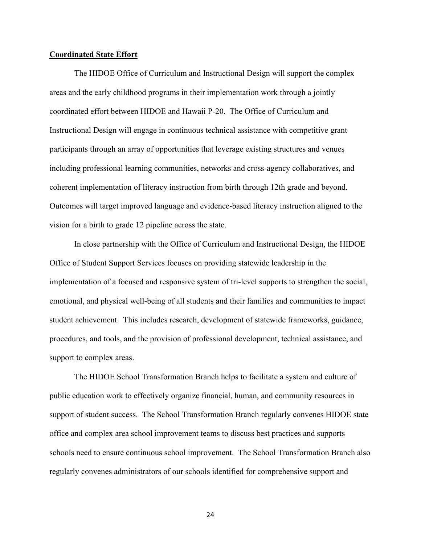#### <span id="page-25-0"></span>**Coordinated State Effort**

The HIDOE Office of Curriculum and Instructional Design will support the complex areas and the early childhood programs in their implementation work through a jointly coordinated effort between HIDOE and Hawaii P-20. The Office of Curriculum and Instructional Design will engage in continuous technical assistance with competitive grant participants through an array of opportunities that leverage existing structures and venues including professional learning communities, networks and cross-agency collaboratives, and coherent implementation of literacy instruction from birth through 12th grade and beyond. Outcomes will target improved language and evidence-based literacy instruction aligned to the vision for a birth to grade 12 pipeline across the state.

In close partnership with the Office of Curriculum and Instructional Design, the HIDOE Office of Student Support Services focuses on providing statewide leadership in the implementation of a focused and responsive system of tri-level supports to strengthen the social, emotional, and physical well-being of all students and their families and communities to impact student achievement. This includes research, development of statewide frameworks, guidance, procedures, and tools, and the provision of professional development, technical assistance, and support to complex areas.

The HIDOE School Transformation Branch helps to facilitate a system and culture of public education work to effectively organize financial, human, and community resources in support of student success. The School Transformation Branch regularly convenes HIDOE state office and complex area school improvement teams to discuss best practices and supports schools need to ensure continuous school improvement. The School Transformation Branch also regularly convenes administrators of our schools identified for comprehensive support and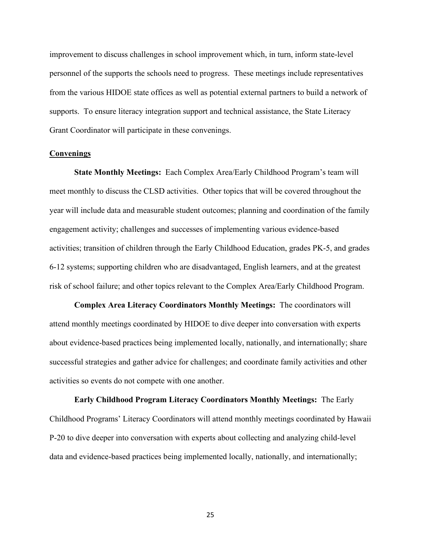improvement to discuss challenges in school improvement which, in turn, inform state-level personnel of the supports the schools need to progress. These meetings include representatives from the various HIDOE state offices as well as potential external partners to build a network of supports. To ensure literacy integration support and technical assistance, the State Literacy Grant Coordinator will participate in these convenings.

#### **Convenings**

**State Monthly Meetings:** Each Complex Area/Early Childhood Program's team will meet monthly to discuss the CLSD activities. Other topics that will be covered throughout the year will include data and measurable student outcomes; planning and coordination of the family engagement activity; challenges and successes of implementing various evidence-based activities; transition of children through the Early Childhood Education, grades PK-5, and grades 6-12 systems; supporting children who are disadvantaged, English learners, and at the greatest risk of school failure; and other topics relevant to the Complex Area/Early Childhood Program.

**Complex Area Literacy Coordinators Monthly Meetings:** The coordinators will attend monthly meetings coordinated by HIDOE to dive deeper into conversation with experts about evidence-based practices being implemented locally, nationally, and internationally; share successful strategies and gather advice for challenges; and coordinate family activities and other activities so events do not compete with one another.

**Early Childhood Program Literacy Coordinators Monthly Meetings:** The Early Childhood Programs' Literacy Coordinators will attend monthly meetings coordinated by Hawaii P-20 to dive deeper into conversation with experts about collecting and analyzing child-level data and evidence-based practices being implemented locally, nationally, and internationally;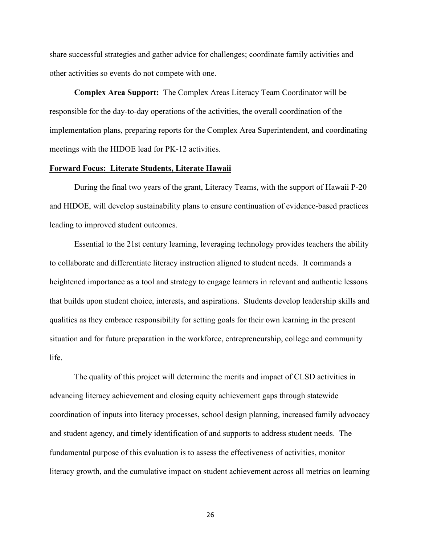share successful strategies and gather advice for challenges; coordinate family activities and other activities so events do not compete with one.

**Complex Area Support:** The Complex Areas Literacy Team Coordinator will be responsible for the day-to-day operations of the activities, the overall coordination of the implementation plans, preparing reports for the Complex Area Superintendent, and coordinating meetings with the HIDOE lead for PK-12 activities.

#### <span id="page-27-0"></span>**Forward Focus: Literate Students, Literate Hawaii**

During the final two years of the grant, Literacy Teams, with the support of Hawaii P-20 and HIDOE, will develop sustainability plans to ensure continuation of evidence-based practices leading to improved student outcomes.

Essential to the 21st century learning, leveraging technology provides teachers the ability to collaborate and differentiate literacy instruction aligned to student needs. It commands a heightened importance as a tool and strategy to engage learners in relevant and authentic lessons that builds upon student choice, interests, and aspirations. Students develop leadership skills and qualities as they embrace responsibility for setting goals for their own learning in the present situation and for future preparation in the workforce, entrepreneurship, college and community life.

The quality of this project will determine the merits and impact of CLSD activities in advancing literacy achievement and closing equity achievement gaps through statewide coordination of inputs into literacy processes, school design planning, increased family advocacy and student agency, and timely identification of and supports to address student needs. The fundamental purpose of this evaluation is to assess the effectiveness of activities, monitor literacy growth, and the cumulative impact on student achievement across all metrics on learning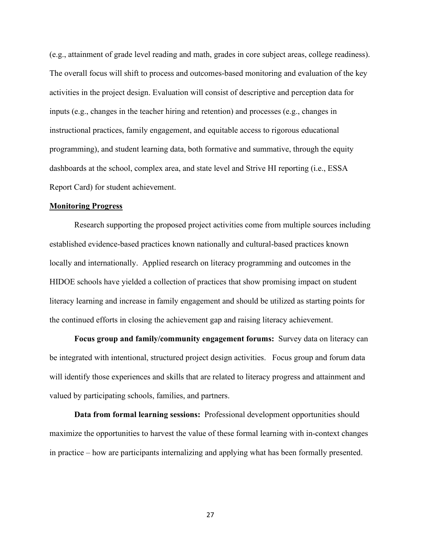(e.g., attainment of grade level reading and math, grades in core subject areas, college readiness). The overall focus will shift to process and outcomes-based monitoring and evaluation of the key activities in the project design. Evaluation will consist of descriptive and perception data for inputs (e.g., changes in the teacher hiring and retention) and processes (e.g., changes in instructional practices, family engagement, and equitable access to rigorous educational programming), and student learning data, both formative and summative, through the equity dashboards at the school, complex area, and state level and Strive HI reporting (i.e., ESSA Report Card) for student achievement.

#### <span id="page-28-0"></span>**Monitoring Progress**

Research supporting the proposed project activities come from multiple sources including established evidence-based practices known nationally and cultural-based practices known locally and internationally. Applied research on literacy programming and outcomes in the HIDOE schools have yielded a collection of practices that show promising impact on student literacy learning and increase in family engagement and should be utilized as starting points for the continued efforts in closing the achievement gap and raising literacy achievement.

**Focus group and family/community engagement forums:** Survey data on literacy can be integrated with intentional, structured project design activities. Focus group and forum data will identify those experiences and skills that are related to literacy progress and attainment and valued by participating schools, families, and partners.

**Data from formal learning sessions:** Professional development opportunities should maximize the opportunities to harvest the value of these formal learning with in-context changes in practice – how are participants internalizing and applying what has been formally presented.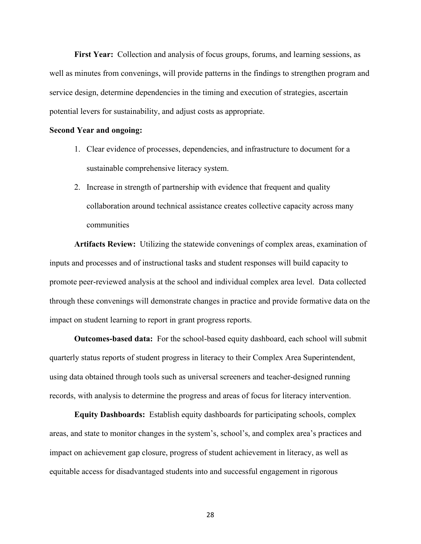**First Year:** Collection and analysis of focus groups, forums, and learning sessions, as well as minutes from convenings, will provide patterns in the findings to strengthen program and service design, determine dependencies in the timing and execution of strategies, ascertain potential levers for sustainability, and adjust costs as appropriate.

#### **Second Year and ongoing:**

- 1. Clear evidence of processes, dependencies, and infrastructure to document for a sustainable comprehensive literacy system.
- 2. Increase in strength of partnership with evidence that frequent and quality collaboration around technical assistance creates collective capacity across many communities

**Artifacts Review:** Utilizing the statewide convenings of complex areas, examination of inputs and processes and of instructional tasks and student responses will build capacity to promote peer-reviewed analysis at the school and individual complex area level. Data collected through these convenings will demonstrate changes in practice and provide formative data on the impact on student learning to report in grant progress reports.

**Outcomes-based data:** For the school-based equity dashboard, each school will submit quarterly status reports of student progress in literacy to their Complex Area Superintendent, using data obtained through tools such as universal screeners and teacher-designed running records, with analysis to determine the progress and areas of focus for literacy intervention.

**Equity Dashboards:** Establish equity dashboards for participating schools, complex areas, and state to monitor changes in the system's, school's, and complex area's practices and impact on achievement gap closure, progress of student achievement in literacy, as well as equitable access for disadvantaged students into and successful engagement in rigorous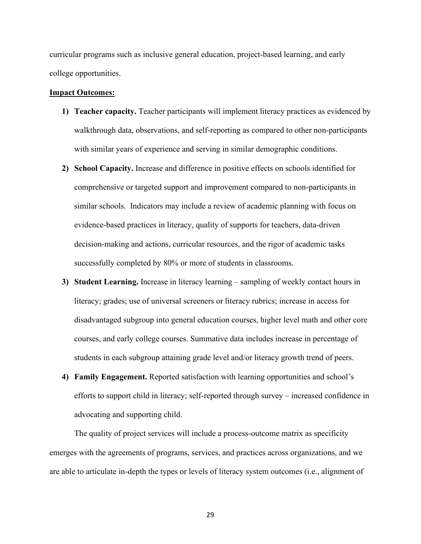curricular programs such as inclusive general education, project-based learning, and early college opportunities.

#### <span id="page-30-0"></span>**Impact Outcomes:**

- **1) Teacher capacity.** Teacher participants will implement literacy practices as evidenced by walkthrough data, observations, and self-reporting as compared to other non-participants with similar years of experience and serving in similar demographic conditions.
- **2) School Capacity.** Increase and difference in positive effects on schools identified for comprehensive or targeted support and improvement compared to non-participants in similar schools. Indicators may include a review of academic planning with focus on evidence-based practices in literacy, quality of supports for teachers, data-driven decision-making and actions, curricular resources, and the rigor of academic tasks successfully completed by 80% or more of students in classrooms.
- **3) Student Learning.** Increase in literacy learning sampling of weekly contact hours in literacy; grades; use of universal screeners or literacy rubrics; increase in access for disadvantaged subgroup into general education courses, higher level math and other core courses, and early college courses. Summative data includes increase in percentage of students in each subgroup attaining grade level and/or literacy growth trend of peers.
- **4) Family Engagement.** Reported satisfaction with learning opportunities and school's efforts to support child in literacy; self-reported through survey – increased confidence in advocating and supporting child.

The quality of project services will include a process-outcome matrix as specificity emerges with the agreements of programs, services, and practices across organizations, and we are able to articulate in-depth the types or levels of literacy system outcomes (i.e., alignment of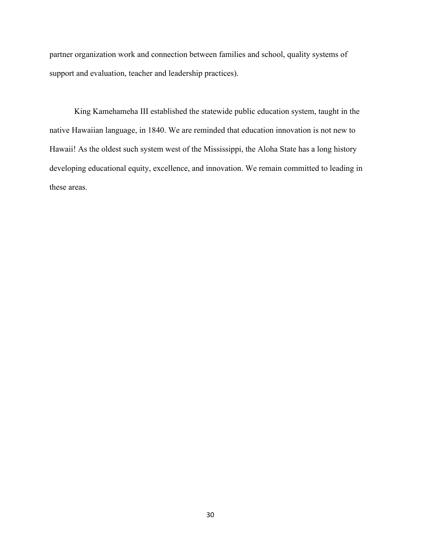partner organization work and connection between families and school, quality systems of support and evaluation, teacher and leadership practices).

King Kamehameha III established the statewide public education system, taught in the native Hawaiian language, in 1840. We are reminded that education innovation is not new to Hawaii! As the oldest such system west of the Mississippi, the Aloha State has a long history developing educational equity, excellence, and innovation. We remain committed to leading in these areas.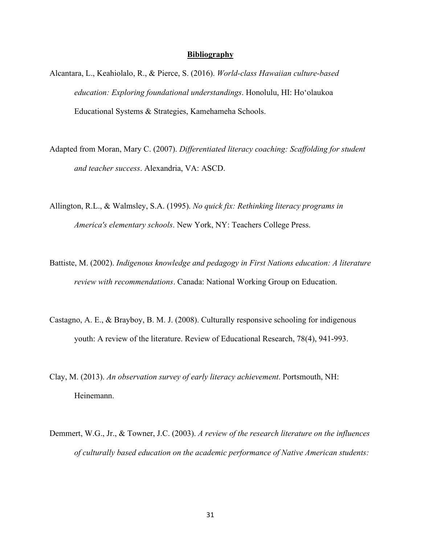#### **Bibliography**

- <span id="page-32-0"></span>Alcantara, L., Keahiolalo, R., & Pierce, S. (2016). *World-class Hawaiian culture-based education: Exploring foundational understandings*. Honolulu, HI: Hoʻolaukoa Educational Systems & Strategies, Kamehameha Schools.
- Adapted from Moran, Mary C. (2007). *Differentiated literacy coaching: Scaffolding for student and teacher success*. Alexandria, VA: ASCD.
- Allington, R.L., & Walmsley, S.A. (1995). *No quick fix: Rethinking literacy programs in America's elementary schools*. New York, NY: Teachers College Press.
- Battiste, M. (2002). *Indigenous knowledge and pedagogy in First Nations education: A literature review with recommendations*. Canada: National Working Group on Education.
- Castagno, A. E., & Brayboy, B. M. J. (2008). Culturally responsive schooling for indigenous youth: A review of the literature. Review of Educational Research, 78(4), 941-993.
- Clay, M. (2013). *An observation survey of early literacy achievement*. Portsmouth, NH: Heinemann.
- Demmert, W.G., Jr., & Towner, J.C. (2003). *A review of the research literature on the influences of culturally based education on the academic performance of Native American students:*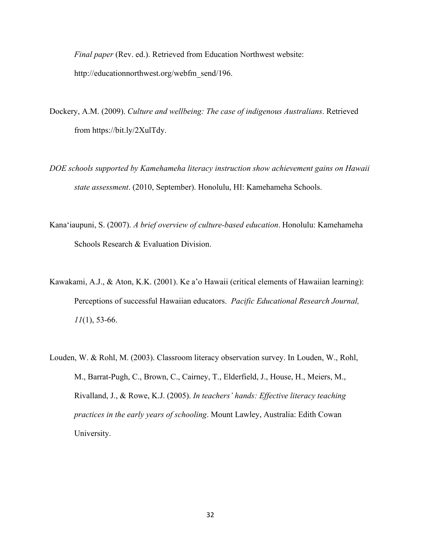*Final paper* (Rev. ed.). Retrieved from Education Northwest website: http://educationnorthwest.org/webfm\_send/196.

- Dockery, A.M. (2009). *Culture and wellbeing: The case of indigenous Australians*. Retrieved from https://bit.ly/2XulTdy.
- *DOE schools supported by Kamehameha literacy instruction show achievement gains on Hawaii state assessment*. (2010, September). Honolulu, HI: Kamehameha Schools.
- Kanaʻiaupuni, S. (2007). *A brief overview of culture-based education*. Honolulu: Kamehameha Schools Research & Evaluation Division.
- Kawakami, A.J., & Aton, K.K. (2001). Ke a'o Hawaii (critical elements of Hawaiian learning): Perceptions of successful Hawaiian educators. *Pacific Educational Research Journal, 11*(1), 53-66.
- Louden, W. & Rohl, M. (2003). Classroom literacy observation survey. In Louden, W., Rohl, M., Barrat-Pugh, C., Brown, C., Cairney, T., Elderfield, J., House, H., Meiers, M., Rivalland, J., & Rowe, K.J. (2005). *In teachers' hands: Effective literacy teaching practices in the early years of schooling*. Mount Lawley, Australia: Edith Cowan University.